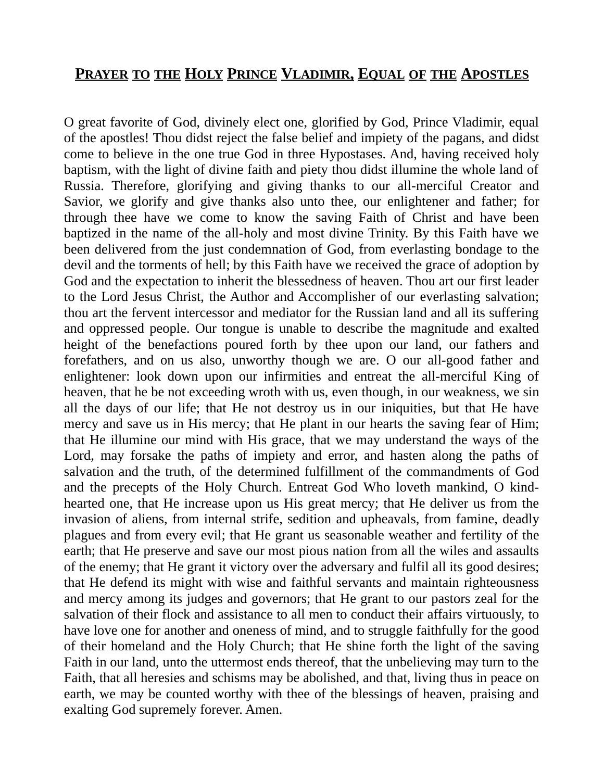## **PRAYER TO THE HOLY PRINCE VLADIMIR, EQUAL OF THE APOSTLES**

O great favorite of God, divinely elect one, glorified by God, Prince Vladimir, equal of the apostles! Thou didst reject the false belief and impiety of the pagans, and didst come to believe in the one true God in three Hypostases. And, having received holy baptism, with the light of divine faith and piety thou didst illumine the whole land of Russia. Therefore, glorifying and giving thanks to our all-merciful Creator and Savior, we glorify and give thanks also unto thee, our enlightener and father; for through thee have we come to know the saving Faith of Christ and have been baptized in the name of the all-holy and most divine Trinity. By this Faith have we been delivered from the just condemnation of God, from everlasting bondage to the devil and the torments of hell; by this Faith have we received the grace of adoption by God and the expectation to inherit the blessedness of heaven. Thou art our first leader to the Lord Jesus Christ, the Author and Accomplisher of our everlasting salvation; thou art the fervent intercessor and mediator for the Russian land and all its suffering and oppressed people. Our tongue is unable to describe the magnitude and exalted height of the benefactions poured forth by thee upon our land, our fathers and forefathers, and on us also, unworthy though we are. O our all-good father and enlightener: look down upon our infirmities and entreat the all-merciful King of heaven, that he be not exceeding wroth with us, even though, in our weakness, we sin all the days of our life; that He not destroy us in our iniquities, but that He have mercy and save us in His mercy; that He plant in our hearts the saving fear of Him; that He illumine our mind with His grace, that we may understand the ways of the Lord, may forsake the paths of impiety and error, and hasten along the paths of salvation and the truth, of the determined fulfillment of the commandments of God and the precepts of the Holy Church. Entreat God Who loveth mankind, O kindhearted one, that He increase upon us His great mercy; that He deliver us from the invasion of aliens, from internal strife, sedition and upheavals, from famine, deadly plagues and from every evil; that He grant us seasonable weather and fertility of the earth; that He preserve and save our most pious nation from all the wiles and assaults of the enemy; that He grant it victory over the adversary and fulfil all its good desires; that He defend its might with wise and faithful servants and maintain righteousness and mercy among its judges and governors; that He grant to our pastors zeal for the salvation of their flock and assistance to all men to conduct their affairs virtuously, to have love one for another and oneness of mind, and to struggle faithfully for the good of their homeland and the Holy Church; that He shine forth the light of the saving Faith in our land, unto the uttermost ends thereof, that the unbelieving may turn to the Faith, that all heresies and schisms may be abolished, and that, living thus in peace on earth, we may be counted worthy with thee of the blessings of heaven, praising and exalting God supremely forever. Amen.